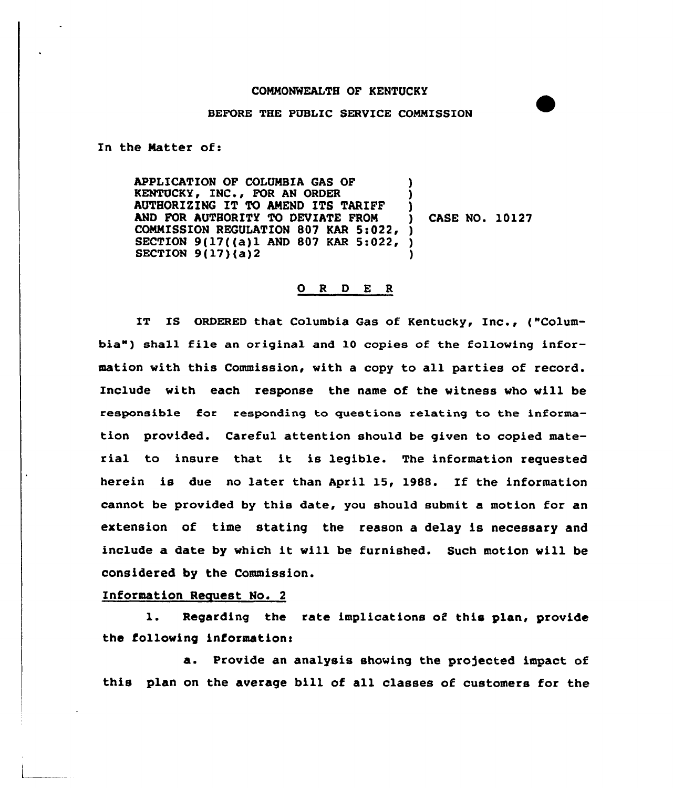## CONMONWEALTH OF KENTUCKY

## BEFORE THE PUBLIC SERVICE COMMISSION

In the Matter of:

APPLICATION OF COLUMBIA GAS OF KENTUCKY, INC., FOR AN ORDER AUTHORI2'ING IT TO AMEND ITS TARIFF AND FOR AUTHORITY TO DEVIATE FROM COMMISSION REGULATION 807 KAR 5:022, ) 9(17((a)1 AND 807 KAR 5:022, ) SECTION  $9(17)(a)2$ ) ) ) ) CASE NO. 10127 )

## 0 <sup>R</sup> <sup>D</sup> E R

IT IS ORDERED that Columbia Gas of Kentucky, Inc., ("Columbia") shall file an original and 10 copies of the following information with this Commission, with a copy to all parties of record. Include with each response the name of the witness vho vill be responsible for responding to guestions re1ating to the information provided. Careful attention should be given to copied material to insure that it. is legible. The information requested herein is due no later than April 15, 1988. If the information cannot be provided by this date, you should submit a motion for an extension of time stating the reason a delay is necessary and include a date by which it vill be furnished. Such motion will be considered by the Commission.

## Information Request No. 2

l. Regarding the rate implications of this plan, provide the following information:

a. Provide an analysis showing the projected impact of this plan on the average bill of all classes of customers for the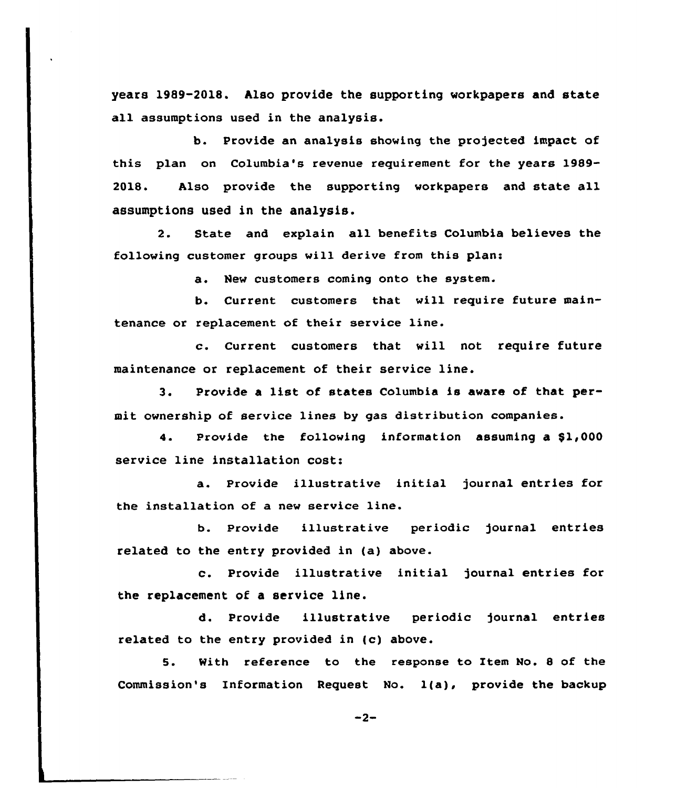years 1989-2018. Also provide the supporting workpapers and state all assumptions used in the analysis.

b. Provide an analysis showing the projected impact of this plan on Columbia's revenue requirement for the years 1989-2018. Also provide the supporting workpapers and state all assumptions used in the analysis.

2. State and explain all benefits Columbia believes the following customer groups will derive from this plan:

a. New customers coming onto the system.

b. Current customers that will require future maintenance or replacement of their service line.

c. Current customers that will not require future maintenance or replacement of their service line.

3. Provide a list of states Columbia is aware of that permit ownership of service lines by gas distribution companies.

4. Provide the following information assuming a \$1,000 sexvice line installation cost:

a. Provide illustrative initial journal entries for the installation of a new service line.

b. Provide illustrative periodic journal entries related to the entry provided in (a) above.

c. Provide illustrative initial journal entries for the replacement of a service line.

d. Provide illustrative periodic journal entries related to the entry provided in (c) above.

5. With reference to the response to Item No. <sup>8</sup> of the Commission's Information Request No. 1(a), provide the backup

 $-2-$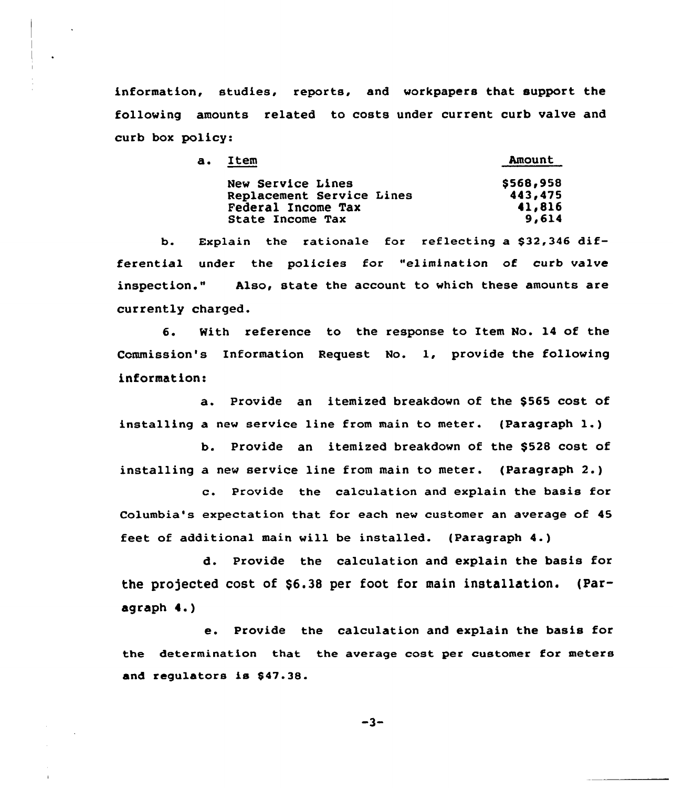information, studies, reports, and workpapers that support the following amounts related to costs under current curb valve and curb box policy:

| a. Item                   | <b>Amount</b> |
|---------------------------|---------------|
| New Service Lines         | \$568,958     |
| Replacement Service Lines | 443,475       |
| Federal Income Tax        | 41,816        |
| State Income Tax          | 9,614         |
|                           |               |

b. Explain the rationale for reflecting a \$32,346 differential under the policies for "elimination of curb valve inspection." Also, state the account to which these amounts are currently charged.

6. With reference to the response to Item No. 14 of the Commission's Information Request No. 1, provide the following information:

a. Provide an itemized breakdown of the \$565 cost of installing <sup>a</sup> new service line from main to meter. (Paragraph 1.)

b. Provide an itemized breakdown of the \$528 cost of installing a new service line from main to meter. (Paragraph 2.)

c. Provide the calculation and explain the basis for Columbia's expectation that for each new customer an average of 45 feet of additional main will be installed. (Paragraph 4.)

d. Provide the calculation and explain the basis for the projected cost of  $$6.38$  per foot for main installation. (Paragraph 4.)

e. Provide the calculation and explain the basis for the determination that the average cost per customer for meters and requlators is \$47.38.

 $-3-$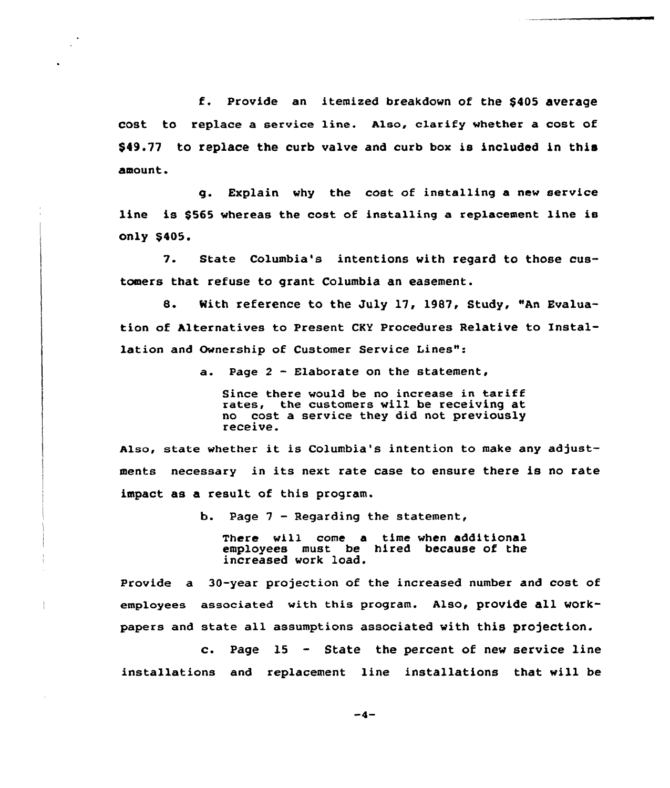f. Provide an itemized breakdown of the \$<sup>405</sup> average cost to replace a service line. Also, clarify whether a cost of \$49.77 to replace the curb valve and curb box is included in this amount.

g. Explain vhy the cost of installing a new service line is \$565 whereas the cost of installing a replacement 1ine is only \$405.

7. State Columbia's intentions with regard to those customers that refuse to grant Columbia an easement.

8. With reference to the July 17, 1987, Study, "An Evaluation of Alternatives to Present CKY Procedures Relative to Installation and Ownership of Customer Service Lines":

a. Page <sup>2</sup> — Elaborate on the statement,

Since there would be no increase in tariff rates, the customers will be receiving at no cost <sup>a</sup> service they did not previously receive.

also, state whether it is Columbia's intention to make any adjustments necessary in its next rate case to ensure there is no rate impact as a result of this program.

b. Page  $7$  - Regarding the statement,

There will come a time when additional employees must be hired because of the increased vork load.

Provide a 30-year projection of the increased number and cost of employees associated with this program. Also, provide all vorkpapers and state all assumptions associated with this projection.

c. Page  $15 -$  State the percent of new service line installations and replacement line installations that will be

 $-4-$